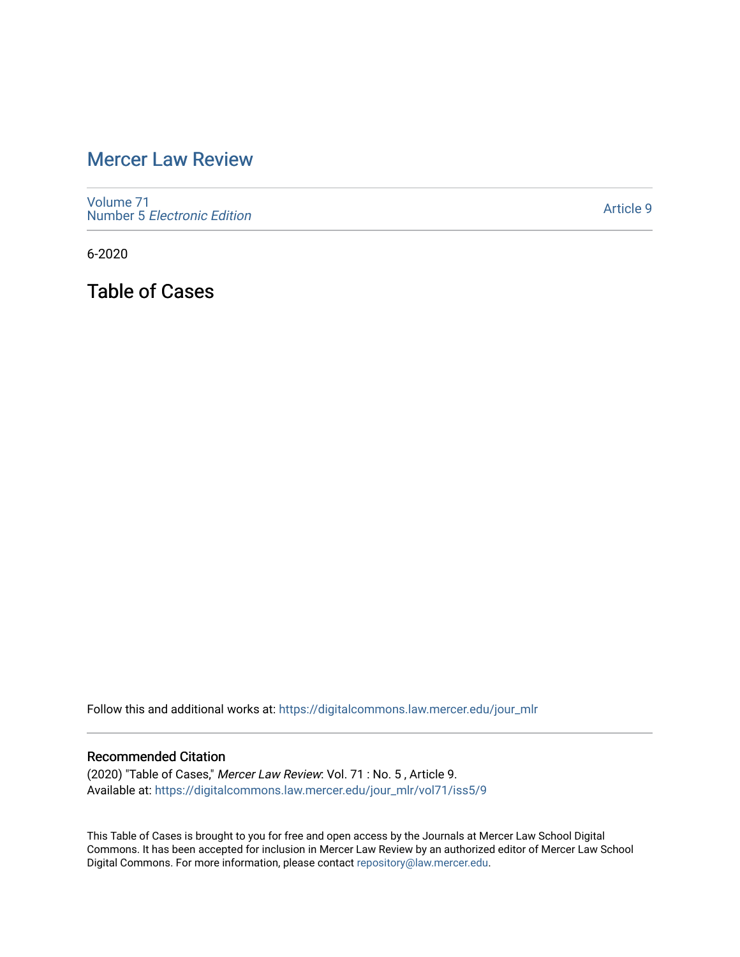## [Mercer Law Review](https://digitalcommons.law.mercer.edu/jour_mlr)

[Volume 71](https://digitalcommons.law.mercer.edu/jour_mlr/vol71) Number 5 [Electronic Edition](https://digitalcommons.law.mercer.edu/jour_mlr/vol71/iss5) 

[Article 9](https://digitalcommons.law.mercer.edu/jour_mlr/vol71/iss5/9) 

6-2020

Table of Cases

Follow this and additional works at: [https://digitalcommons.law.mercer.edu/jour\\_mlr](https://digitalcommons.law.mercer.edu/jour_mlr?utm_source=digitalcommons.law.mercer.edu%2Fjour_mlr%2Fvol71%2Fiss5%2F9&utm_medium=PDF&utm_campaign=PDFCoverPages)

## Recommended Citation

(2020) "Table of Cases," Mercer Law Review: Vol. 71 : No. 5 , Article 9. Available at: [https://digitalcommons.law.mercer.edu/jour\\_mlr/vol71/iss5/9](https://digitalcommons.law.mercer.edu/jour_mlr/vol71/iss5/9?utm_source=digitalcommons.law.mercer.edu%2Fjour_mlr%2Fvol71%2Fiss5%2F9&utm_medium=PDF&utm_campaign=PDFCoverPages)

This Table of Cases is brought to you for free and open access by the Journals at Mercer Law School Digital Commons. It has been accepted for inclusion in Mercer Law Review by an authorized editor of Mercer Law School Digital Commons. For more information, please contact [repository@law.mercer.edu](mailto:repository@law.mercer.edu).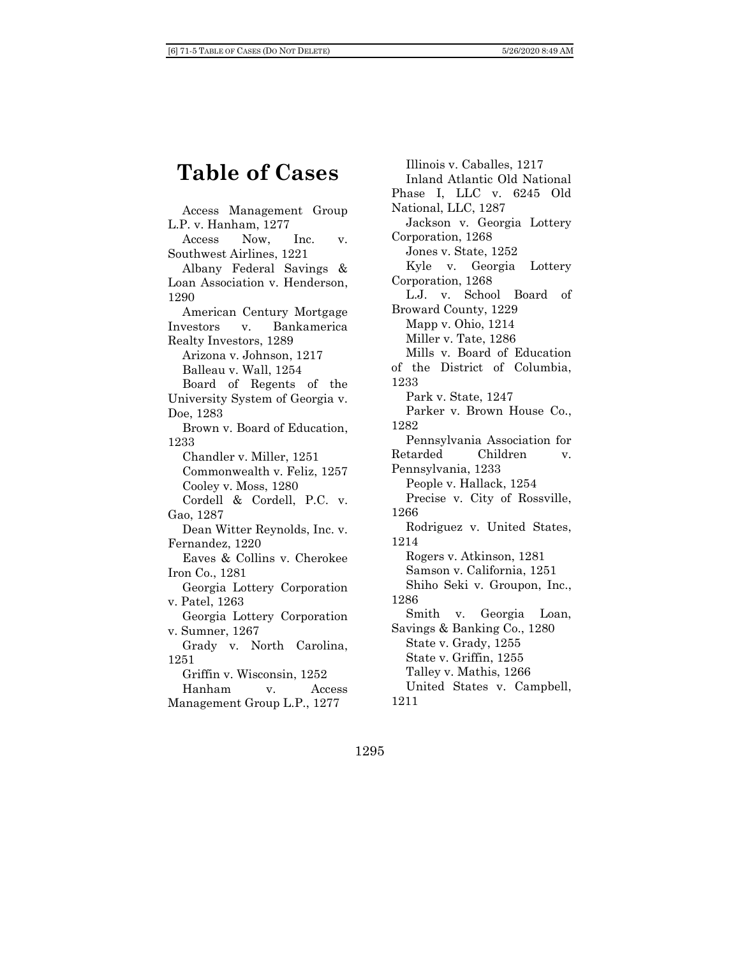## **Table of Cases**

Access Management Group L.P. v. Hanham, 1277 Access Now, Inc. v. Southwest Airlines, 1221 Albany Federal Savings & Loan Association v. Henderson, 1290 American Century Mortgage Investors v. Bankamerica Realty Investors, 1289 Arizona v. Johnson, 1217 Balleau v. Wall, 1254 Board of Regents of the University System of Georgia v. Doe, 1283 Brown v. Board of Education, 1233 Chandler v. Miller, 1251 Commonwealth v. Feliz, 1257 Cooley v. Moss, 1280 Cordell & Cordell, P.C. v. Gao, 1287 Dean Witter Reynolds, Inc. v. Fernandez, 1220 Eaves & Collins v. Cherokee Iron Co., 1281 Georgia Lottery Corporation v. Patel, 1263 Georgia Lottery Corporation v. Sumner, 1267 Grady v. North Carolina, 1251 Griffin v. Wisconsin, 1252 Hanham v. Access Management Group L.P., 1277

Illinois v. Caballes, 1217 Inland Atlantic Old National Phase I, LLC v. 6245 Old National, LLC, 1287 Jackson v. Georgia Lottery Corporation, 1268 Jones v. State, 1252 Kyle v. Georgia Lottery Corporation, 1268 L.J. v. School Board of Broward County, 1229 Mapp v. Ohio, 1214 Miller v. Tate, 1286 Mills v. Board of Education of the District of Columbia, 1233 Park v. State, 1247 Parker v. Brown House Co., 1282 Pennsylvania Association for Retarded Children v. Pennsylvania, 1233 People v. Hallack, 1254 Precise v. City of Rossville, 1266 Rodriguez v. United States, 1214 Rogers v. Atkinson, 1281 Samson v. California, 1251 Shiho Seki v. Groupon, Inc., 1286 Smith v. Georgia Loan, Savings & Banking Co., 1280 State v. Grady, 1255 State v. Griffin, 1255 Talley v. Mathis, 1266 United States v. Campbell, 1211